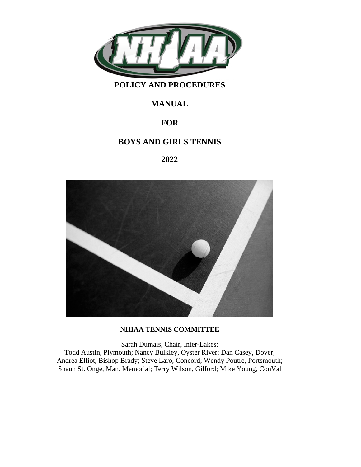

# **POLICY AND PROCEDURES**

# **MANUAL**

# **FOR**

# **BOYS AND GIRLS TENNIS**

# **2022**



## **NHIAA TENNIS COMMITTEE**

Sarah Dumais, Chair, Inter-Lakes; Todd Austin, Plymouth; Nancy Bulkley, Oyster River; Dan Casey, Dover; Andrea Elliot, Bishop Brady; Steve Laro, Concord; Wendy Poutre, Portsmouth; Shaun St. Onge, Man. Memorial; Terry Wilson, Gilford; Mike Young, ConVal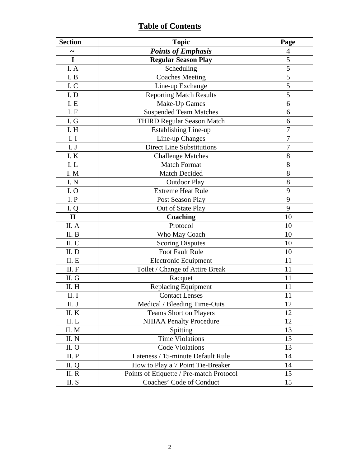# **Table of Contents**

| <b>Section</b>        | <b>Topic</b>                             |                |
|-----------------------|------------------------------------------|----------------|
| $\tilde{\phantom{a}}$ | <b>Points of Emphasis</b>                | $\overline{4}$ |
| I                     | <b>Regular Season Play</b>               | 5              |
| I. A                  | Scheduling                               |                |
| I.B                   | <b>Coaches Meeting</b>                   | 5              |
| I.C                   | Line-up Exchange                         | 5              |
| I.D                   | <b>Reporting Match Results</b>           | 5              |
| I. E                  | Make-Up Games                            | 6              |
| I.F                   | <b>Suspended Team Matches</b>            | 6              |
| I. G                  | <b>THIRD Regular Season Match</b>        | 6              |
| I.H                   | <b>Establishing Line-up</b>              | 7              |
| I. I                  | Line-up Changes                          | $\overline{7}$ |
| I. J                  | <b>Direct Line Substitutions</b>         | 7              |
| I.K                   | <b>Challenge Matches</b>                 | 8              |
| I.L                   | <b>Match Format</b>                      | 8              |
| I. M                  | Match Decided                            | 8              |
| I. N                  | <b>Outdoor Play</b>                      | 8              |
| I.0                   | <b>Extreme Heat Rule</b>                 | 9              |
| I.P                   | Post Season Play                         |                |
| I.Q                   | Out of State Play                        | 9              |
| $\mathbf{I}$          | Coaching                                 | 10             |
| II. A                 | Protocol                                 | 10             |
| II. B                 | Who May Coach                            |                |
| II. C                 | <b>Scoring Disputes</b>                  |                |
| II.D                  | <b>Foot Fault Rule</b>                   |                |
| II. E                 | <b>Electronic Equipment</b>              | 11             |
| II. F                 | Toilet / Change of Attire Break          | 11             |
| II. G                 | Racquet                                  |                |
| II. H                 | Replacing Equipment                      |                |
| II. I                 | <b>Contact Lenses</b>                    | 11             |
| II. J                 | Medical / Bleeding Time-Outs             |                |
| II.K                  | <b>Teams Short on Players</b>            |                |
| II.L                  | <b>NHIAA Penalty Procedure</b>           |                |
| II. M                 | Spitting                                 |                |
| II. N                 | <b>Time Violations</b>                   |                |
| II.O                  | <b>Code Violations</b>                   |                |
| II. P                 | Lateness / 15-minute Default Rule        |                |
| II. Q                 | How to Play a 7 Point Tie-Breaker        |                |
| II. R                 | Points of Etiquette / Pre-match Protocol |                |
| II. S                 | Coaches' Code of Conduct                 | 15             |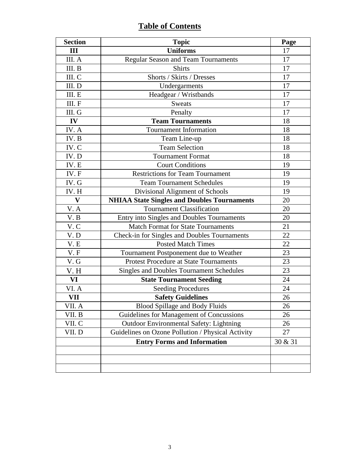# **Table of Contents**

| <b>Section</b>            | <b>Topic</b>                                       |         |
|---------------------------|----------------------------------------------------|---------|
| III                       | <b>Uniforms</b>                                    |         |
| III. A                    | <b>Regular Season and Team Tournaments</b>         | 17      |
| III. B                    | <b>Shirts</b>                                      |         |
| III. C                    | Shorts / Skirts / Dresses                          | 17      |
| III. D                    | Undergarments                                      | 17      |
| III. E                    | Headgear / Wristbands                              | 17      |
| III. F                    | <b>Sweats</b>                                      | 17      |
| III. G                    | Penalty                                            | 17      |
| $\mathbf{IV}$             | <b>Team Tournaments</b>                            | 18      |
| IV. A                     | <b>Tournament Information</b>                      | 18      |
| IV.B                      | Team Line-up                                       | 18      |
| IV.C                      | <b>Team Selection</b>                              | 18      |
| IV.D                      | <b>Tournament Format</b>                           | 18      |
| IV. E                     | <b>Court Conditions</b>                            | 19      |
| IV. F                     | <b>Restrictions for Team Tournament</b>            | 19      |
| IV. G                     | <b>Team Tournament Schedules</b>                   | 19      |
| IV. H                     | Divisional Alignment of Schools                    |         |
| $\boldsymbol{\mathrm{V}}$ | <b>NHIAA State Singles and Doubles Tournaments</b> | 20      |
| V.A                       | <b>Tournament Classification</b>                   | 20      |
| V. B                      | Entry into Singles and Doubles Tournaments         | 20      |
| V.C                       | <b>Match Format for State Tournaments</b>          |         |
| V.D                       | Check-in for Singles and Doubles Tournaments       |         |
| V.E                       | <b>Posted Match Times</b>                          |         |
| V.F                       | Tournament Postponement due to Weather             | 23      |
| V.G                       | <b>Protest Procedure at State Tournaments</b>      | 23      |
| V.H                       | <b>Singles and Doubles Tournament Schedules</b>    | 23      |
| VI                        | <b>State Tournament Seeding</b>                    | 24      |
| VI. A                     | <b>Seeding Procedures</b>                          | 24      |
| VII                       | <b>Safety Guidelines</b>                           | 26      |
| VII. A                    | <b>Blood Spillage and Body Fluids</b>              | 26      |
| VII. B                    | Guidelines for Management of Concussions           |         |
| VII. C                    | <b>Outdoor Environmental Safety: Lightning</b>     | 26      |
| VII.D                     | Guidelines on Ozone Pollution / Physical Activity  | 27      |
|                           | <b>Entry Forms and Information</b>                 | 30 & 31 |
|                           |                                                    |         |
|                           |                                                    |         |
|                           |                                                    |         |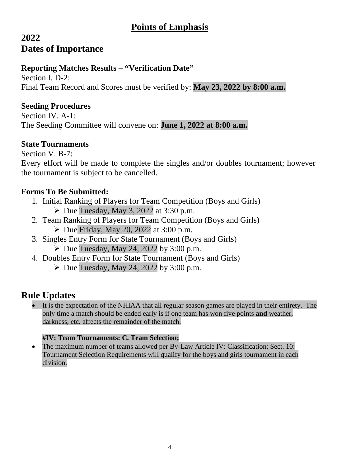# **Points of Emphasis**

# **2022 Dates of Importance**

# **Reporting Matches Results – "Verification Date"**

Section I. D-2: Final Team Record and Scores must be verified by: **May 23, 2022 by 8:00 a.m.**

# **Seeding Procedures**

Section IV. A-1: The Seeding Committee will convene on: **June 1, 2022 at 8:00 a.m.**

# **State Tournaments**

Section V. B-7: Every effort will be made to complete the singles and/or doubles tournament; however the tournament is subject to be cancelled.

# **Forms To Be Submitted:**

- 1. Initial Ranking of Players for Team Competition (Boys and Girls)
	- $\triangleright$  Due Tuesday, May 3, 2022 at 3:30 p.m.
- 2. Team Ranking of Players for Team Competition (Boys and Girls)  $\triangleright$  Due Friday, May 20, 2022 at 3:00 p.m.
- 3. Singles Entry Form for State Tournament (Boys and Girls)
	- $\triangleright$  Due Tuesday, May 24, 2022 by 3:00 p.m.
- 4. Doubles Entry Form for State Tournament (Boys and Girls)
	- $\triangleright$  Due Tuesday, May 24, 2022 by 3:00 p.m.

# **Rule Updates**

It is the expectation of the NHIAA that all regular season games are played in their entirety. The only time a match should be ended early is if one team has won five points **and** weather, darkness, etc. affects the remainder of the match.

# **#IV: Team Tournaments: C. Team Selection;**

• The maximum number of teams allowed per By-Law Article IV: Classification; Sect. 10: Tournament Selection Requirements will qualify for the boys and girls tournament in each division.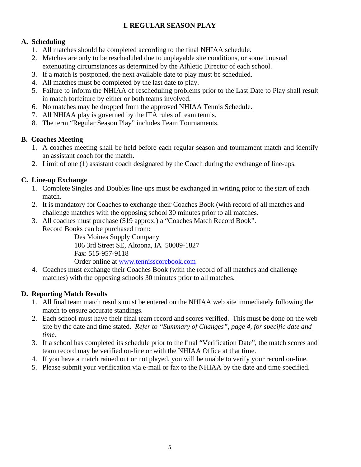# **I. REGULAR SEASON PLAY**

# **A. Scheduling**

- 1. All matches should be completed according to the final NHIAA schedule.
- 2. Matches are only to be rescheduled due to unplayable site conditions, or some unusual extenuating circumstances as determined by the Athletic Director of each school.
- 3. If a match is postponed, the next available date to play must be scheduled.
- 4. All matches must be completed by the last date to play.
- 5. Failure to inform the NHIAA of rescheduling problems prior to the Last Date to Play shall result in match forfeiture by either or both teams involved.
- 6. No matches may be dropped from the approved NHIAA Tennis Schedule.
- 7. All NHIAA play is governed by the ITA rules of team tennis.
- 8. The term "Regular Season Play" includes Team Tournaments.

## **B. Coaches Meeting**

- 1. A coaches meeting shall be held before each regular season and tournament match and identify an assistant coach for the match.
- 2. Limit of one (1) assistant coach designated by the Coach during the exchange of line-ups.

# **C. Line-up Exchange**

- 1. Complete Singles and Doubles line-ups must be exchanged in writing prior to the start of each match.
- 2. It is mandatory for Coaches to exchange their Coaches Book (with record of all matches and challenge matches with the opposing school 30 minutes prior to all matches.
- 3. All coaches must purchase (\$19 approx.) a "Coaches Match Record Book". Record Books can be purchased from:

Des Moines Supply Company 106 3rd Street SE, Altoona, IA 50009-1827 Fax: 515-957-9118 Order online at [www.tennisscorebook.com](http://www.tennisscorebook.com/)

4. Coaches must exchange their Coaches Book (with the record of all matches and challenge matches) with the opposing schools 30 minutes prior to all matches.

# **D. Reporting Match Results**

- 1. All final team match results must be entered on the NHIAA web site immediately following the match to ensure accurate standings.
- 2. Each school must have their final team record and scores verified. This must be done on the web site by the date and time stated. *Refer to "Summary of Changes", page 4, for specific date and time.*
- 3. If a school has completed its schedule prior to the final "Verification Date", the match scores and team record may be verified on-line or with the NHIAA Office at that time.
- 4. If you have a match rained out or not played, you will be unable to verify your record on-line.
- 5. Please submit your verification via e-mail or fax to the NHIAA by the date and time specified.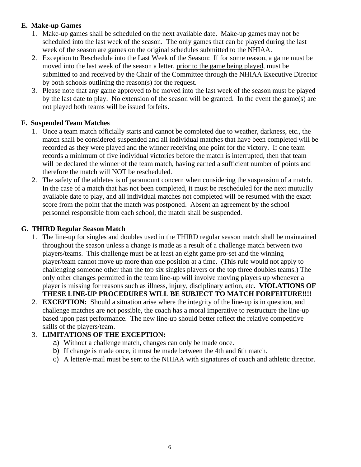# **E. Make-up Games**

- 1. Make-up games shall be scheduled on the next available date. Make-up games may not be scheduled into the last week of the season. The only games that can be played during the last week of the season are games on the original schedules submitted to the NHIAA.
- 2. Exception to Reschedule into the Last Week of the Season: If for some reason, a game must be moved into the last week of the season a letter, prior to the game being played, must be submitted to and received by the Chair of the Committee through the NHIAA Executive Director by both schools outlining the reason(s) for the request.
- 3. Please note that any game approved to be moved into the last week of the season must be played by the last date to play. No extension of the season will be granted. In the event the game(s) are not played both teams will be issued forfeits.

# **F. Suspended Team Matches**

- 1. Once a team match officially starts and cannot be completed due to weather, darkness, etc., the match shall be considered suspended and all individual matches that have been completed will be recorded as they were played and the winner receiving one point for the victory. If one team records a minimum of five individual victories before the match is interrupted, then that team will be declared the winner of the team match, having earned a sufficient number of points and therefore the match will NOT be rescheduled.
- 2. The safety of the athletes is of paramount concern when considering the suspension of a match. In the case of a match that has not been completed, it must be rescheduled for the next mutually available date to play, and all individual matches not completed will be resumed with the exact score from the point that the match was postponed. Absent an agreement by the school personnel responsible from each school, the match shall be suspended.

## **G. THIRD Regular Season Match**

- 1. The line-up for singles and doubles used in the THIRD regular season match shall be maintained throughout the season unless a change is made as a result of a challenge match between two players/teams. This challenge must be at least an eight game pro-set and the winning player/team cannot move up more than one position at a time. (This rule would not apply to challenging someone other than the top six singles players or the top three doubles teams.) The only other changes permitted in the team line-up will involve moving players up whenever a player is missing for reasons such as illness, injury, disciplinary action, etc. **VIOLATIONS OF THESE LINE-UP PROCEDURES WILL BE SUBJECT TO MATCH FORFEITURE!!!!**
- 2. **EXCEPTION:** Should a situation arise where the integrity of the line-up is in question, and challenge matches are not possible, the coach has a moral imperative to restructure the line-up based upon past performance. The new line-up should better reflect the relative competitive skills of the players/team.

# 3. **LIMITATIONS OF THE EXCEPTION:**

- a) Without a challenge match, changes can only be made once.
- b) If change is made once, it must be made between the 4th and 6th match.
- c) A letter/e-mail must be sent to the NHIAA with signatures of coach and athletic director.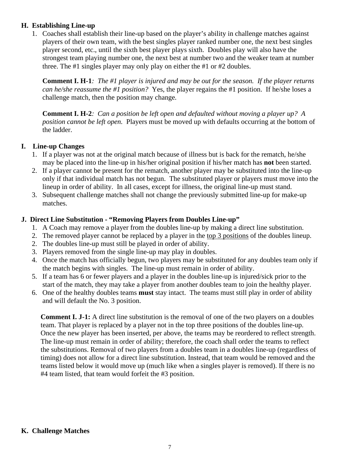#### **H. Establishing Line-up**

1. Coaches shall establish their line-up based on the player's ability in challenge matches against players of their own team, with the best singles player ranked number one, the next best singles player second, etc., until the sixth best player plays sixth. Doubles play will also have the strongest team playing number one, the next best at number two and the weaker team at number three. The #1 singles player may only play on either the #1 or #2 doubles.

**Comment I. H-1***: The #1 player is injured and may be out for the season. If the player returns can he/she reassume the #1 position?* Yes, the player regains the #1 position. If he/she loses a challenge match, then the position may change*.*

**Comment I. H-2***: Can a position be left open and defaulted without moving a player up? A position cannot be left open.* Players must be moved up with defaults occurring at the bottom of the ladder.

#### **I. Line-up Changes**

- 1. If a player was not at the original match because of illness but is back for the rematch, he/she may be placed into the line-up in his/her original position if his/her match has **not** been started.
- 2. If a player cannot be present for the rematch, another player may be substituted into the line-up only if that individual match has not begun. The substituted player or players must move into the lineup in order of ability. In all cases, except for illness, the original line-up must stand.
- 3. Subsequent challenge matches shall not change the previously submitted line-up for make-up matches.

## **J. Direct Line Substitution - "Removing Players from Doubles Line-up"**

- 1. A Coach may remove a player from the doubles line-up by making a direct line substitution.
- 2. The removed player cannot be replaced by a player in the top 3 positions of the doubles lineup.
- 2. The doubles line-up must still be played in order of ability.
- 3. Players removed from the single line-up may play in doubles.
- 4. Once the match has officially begun, two players may be substituted for any doubles team only if the match begins with singles. The line-up must remain in order of ability.
- 5. If a team has 6 or fewer players and a player in the doubles line-up is injured/sick prior to the start of the match, they may take a player from another doubles team to join the healthy player.
- 6. One of the healthy doubles teams **must** stay intact. The teams must still play in order of ability and will default the No. 3 position.

**Comment I. J-1:** A direct line substitution is the removal of one of the two players on a doubles team. That player is replaced by a player not in the top three positions of the doubles line-up. Once the new player has been inserted, per above, the teams may be reordered to reflect strength. The line-up must remain in order of ability; therefore, the coach shall order the teams to reflect the substitutions. Removal of two players from a doubles team in a doubles line-up (regardless of timing) does not allow for a direct line substitution. Instead, that team would be removed and the teams listed below it would move up (much like when a singles player is removed). If there is no #4 team listed, that team would forfeit the #3 position.

#### **K. Challenge Matches**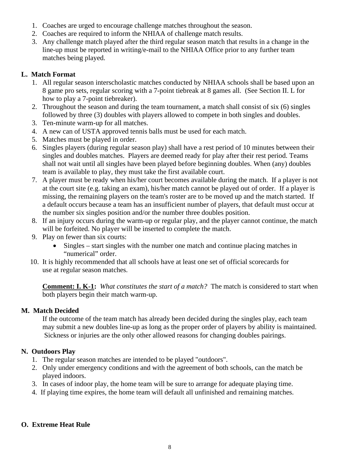- 1. Coaches are urged to encourage challenge matches throughout the season.
- 2. Coaches are required to inform the NHIAA of challenge match results.
- 3. Any challenge match played after the third regular season match that results in a change in the line-up must be reported in writing/e-mail to the NHIAA Office prior to any further team matches being played.

# **L. Match Format**

- 1. All regular season interscholastic matches conducted by NHIAA schools shall be based upon an 8 game pro sets, regular scoring with a 7-point tiebreak at 8 games all. (See Section II. L for how to play a 7-point tiebreaker).
- 2. Throughout the season and during the team tournament, a match shall consist of six (6) singles followed by three (3) doubles with players allowed to compete in both singles and doubles.
- 3. Ten-minute warm-up for all matches.
- 4. A new can of USTA approved tennis balls must be used for each match.
- 5. Matches must be played in order.
- 6. Singles players (during regular season play) shall have a rest period of 10 minutes between their singles and doubles matches. Players are deemed ready for play after their rest period. Teams shall not wait until all singles have been played before beginning doubles. When (any) doubles team is available to play, they must take the first available court.
- 7. A player must be ready when his/her court becomes available during the match. If a player is not at the court site (e.g. taking an exam), his/her match cannot be played out of order. If a player is missing, the remaining players on the team's roster are to be moved up and the match started. If a default occurs because a team has an insufficient number of players, that default must occur at the number six singles position and/or the number three doubles position.
- 8. If an injury occurs during the warm-up or regular play, and the player cannot continue, the match will be forfeited. No player will be inserted to complete the match.
- 9. Play on fewer than six courts:
	- Singles start singles with the number one match and continue placing matches in "numerical" order.
- 10. It is highly recommended that all schools have at least one set of official scorecards for use at regular season matches.

**Comment: I. K-1:** *What constitutes the start of a match?* The match is considered to start when both players begin their match warm-up.

## **M. Match Decided**

If the outcome of the team match has already been decided during the singles play, each team may submit a new doubles line-up as long as the proper order of players by ability is maintained. Sickness or injuries are the only other allowed reasons for changing doubles pairings.

# **N. Outdoors Play**

- 1. The regular season matches are intended to be played "outdoors".
- 2. Only under emergency conditions and with the agreement of both schools, can the match be played indoors.
- 3. In cases of indoor play, the home team will be sure to arrange for adequate playing time.
- 4. If playing time expires, the home team will default all unfinished and remaining matches.

# **O. Extreme Heat Rule**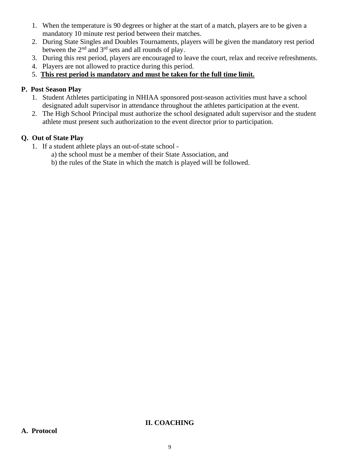- 1. When the temperature is 90 degrees or higher at the start of a match, players are to be given a mandatory 10 minute rest period between their matches.
- 2. During State Singles and Doubles Tournaments, players will be given the mandatory rest period between the  $2<sup>nd</sup>$  and  $3<sup>rd</sup>$  sets and all rounds of play.
- 3. During this rest period, players are encouraged to leave the court, relax and receive refreshments.
- 4. Players are not allowed to practice during this period.
- 5. **This rest period is mandatory and must be taken for the full time limit.**

# **P. Post Season Play**

- 1. Student Athletes participating in NHIAA sponsored post-season activities must have a school designated adult supervisor in attendance throughout the athletes participation at the event.
- 2. The High School Principal must authorize the school designated adult supervisor and the student athlete must present such authorization to the event director prior to participation.

# **Q. Out of State Play**

- 1. If a student athlete plays an out-of-state school
	- a) the school must be a member of their State Association, and
	- b) the rules of the State in which the match is played will be followed.

## **II. COACHING**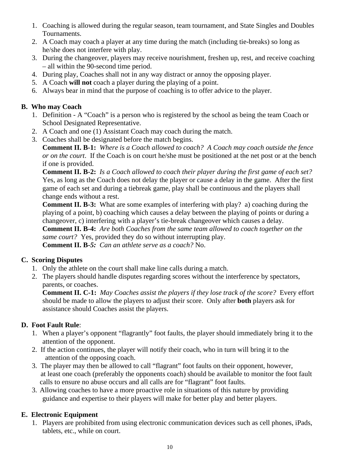- 1. Coaching is allowed during the regular season, team tournament, and State Singles and Doubles Tournaments.
- 2. A Coach may coach a player at any time during the match (including tie-breaks) so long as he/she does not interfere with play.
- 3. During the changeover, players may receive nourishment, freshen up, rest, and receive coaching – all within the 90-second time period.
- 4. During play, Coaches shall not in any way distract or annoy the opposing player.
- 5. A Coach **will not** coach a player during the playing of a point.
- 6. Always bear in mind that the purpose of coaching is to offer advice to the player.

## **B. Who may Coach**

- 1. Definition A "Coach" is a person who is registered by the school as being the team Coach or School Designated Representative.
- 2. A Coach and one (1) Assistant Coach may coach during the match.
- 3. Coaches shall be designated before the match begins.

**Comment II. B-1:** *Where is a Coach allowed to coach? A Coach may coach outside the fence or on the court*. If the Coach is on court he/she must be positioned at the net post or at the bench if one is provided.

**Comment II. B-2:** *Is a Coach allowed to coach their player during the first game of each set?*  Yes, as long as the Coach does not delay the player or cause a delay in the game. After the first game of each set and during a tiebreak game, play shall be continuous and the players shall change ends without a rest.

**Comment II. B-3:** What are some examples of interfering with play? a) coaching during the playing of a point, b) coaching which causes a delay between the playing of points or during a changeover, c) interfering with a player's tie-break changeover which causes a delay.

**Comment II. B-4:** *Are both Coaches from the same team allowed to coach together on the same court?* Yes, provided they do so without interrupting play.

**Comment II. B-***5: Can an athlete serve as a coach?* No.

## **C. Scoring Disputes**

- 1. Only the athlete on the court shall make line calls during a match.
- 2. The players should handle disputes regarding scores without the interference by spectators, parents, or coaches.

**Comment II. C-1:** *May Coaches assist the players if they lose track of the score?* Every effort should be made to allow the players to adjust their score. Only after **both** players ask for assistance should Coaches assist the players.

# **D. Foot Fault Rule**:

- 1. When a player's opponent "flagrantly" foot faults, the player should immediately bring it to the attention of the opponent.
- 2. If the action continues, the player will notify their coach, who in turn will bring it to the attention of the opposing coach.
- 3. The player may then be allowed to call "flagrant" foot faults on their opponent, however, at least one coach (preferably the opponents coach) should be available to monitor the foot fault calls to ensure no abuse occurs and all calls are for "flagrant" foot faults.
- 3. Allowing coaches to have a more proactive role in situations of this nature by providing guidance and expertise to their players will make for better play and better players.

# **E. Electronic Equipment**

1. Players are prohibited from using electronic communication devices such as cell phones, iPads, tablets, etc., while on court.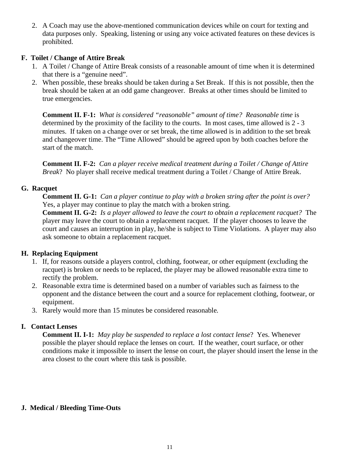2. A Coach may use the above-mentioned communication devices while on court for texting and data purposes only. Speaking, listening or using any voice activated features on these devices is prohibited.

## **F. Toilet / Change of Attire Break**

- 1. A Toilet / Change of Attire Break consists of a reasonable amount of time when it is determined that there is a "genuine need".
- 2. When possible, these breaks should be taken during a Set Break. If this is not possible, then the break should be taken at an odd game changeover. Breaks at other times should be limited to true emergencies.

**Comment II. F-1:** *What is considered "reasonable" amount of time? Reasonable time* is determined by the proximity of the facility to the courts. In most cases, time allowed is 2 - 3 minutes. If taken on a change over or set break, the time allowed is in addition to the set break and changeover time. The "Time Allowed" should be agreed upon by both coaches before the start of the match.

**Comment II. F-2:** *Can a player receive medical treatment during a Toilet / Change of Attire Break*? No player shall receive medical treatment during a Toilet / Change of Attire Break.

# **G. Racquet**

**Comment II. G-1:** *Can a player continue to play with a broken string after the point is over?* Yes, a player may continue to play the match with a broken string.

**Comment II. G-2:** *Is a player allowed to leave the court to obtain a replacement racquet?* The player may leave the court to obtain a replacement racquet. If the player chooses to leave the court and causes an interruption in play, he/she is subject to Time Violations. A player may also ask someone to obtain a replacement racquet.

# **H. Replacing Equipment**

- 1. If, for reasons outside a players control, clothing, footwear, or other equipment (excluding the racquet) is broken or needs to be replaced, the player may be allowed reasonable extra time to rectify the problem.
- 2. Reasonable extra time is determined based on a number of variables such as fairness to the opponent and the distance between the court and a source for replacement clothing, footwear, or equipment.
- 3. Rarely would more than 15 minutes be considered reasonable*.*

# **I. Contact Lenses**

**Comment II. I-1:** *May play be suspended to replace a lost contact lense*? Yes. Whenever possible the player should replace the lenses on court. If the weather, court surface, or other conditions make it impossible to insert the lense on court, the player should insert the lense in the area closest to the court where this task is possible.

# **J. Medical / Bleeding Time-Outs**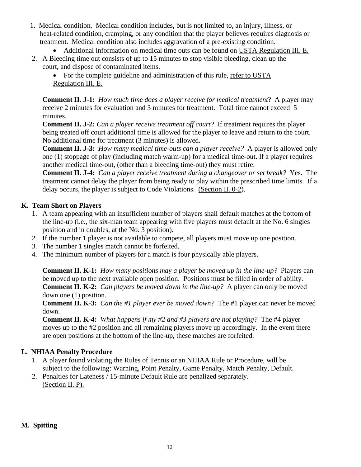- 1. Medical condition. Medical condition includes, but is not limited to, an injury, illness, or heat-related condition, cramping, or any condition that the player believes requires diagnosis or treatment. Medical condition also includes aggravation of a pre-existing condition.
	- Additional information on medical time outs can be found on USTA Regulation III. E.
- 2. A Bleeding time out consists of up to 15 minutes to stop visible bleeding, clean up the court, and dispose of contaminated items.
	- For the complete guideline and administration of this rule, refer to USTA Regulation III. E.

**Comment II. J-1:** *How much time does a player receive for medical treatment*? A player may receive 2 minutes for evaluation and 3 minutes for treatment. Total time cannot exceed 5 minutes.

**Comment II. J-2:** *Can a player receive treatment off court?* If treatment requires the player being treated off court additional time is allowed for the player to leave and return to the court. No additional time for treatment (3 minutes) is allowed.

**Comment II. J-3:** *How many medical time-outs can a player receive?* A player is allowed only one (1) stoppage of play (including match warm-up) for a medical time-out. If a player requires another medical time-out, (other than a bleeding time-out) they must retire.

**Comment II. J-4:** *Can a player receive treatment during a changeover or set break?* Yes. The treatment cannot delay the player from being ready to play within the prescribed time limits. If a delay occurs, the player is subject to Code Violations. (Section II. 0-2).

## **K. Team Short on Players**

- 1. A team appearing with an insufficient number of players shall default matches at the bottom of the line-up (i.e., the six-man team appearing with five players must default at the No. 6 singles position and in doubles, at the No. 3 position).
- 2. If the number 1 player is not available to compete, all players must move up one position.
- 3. The number 1 singles match cannot be forfeited.
- 4. The minimum number of players for a match is four physically able players.

**Comment II. K-1:** *How many positions may a player be moved up in the line-up?* Players can be moved up to the next available open position. Positions must be filled in order of ability. **Comment II. K-2:** *Can players be moved down in the line-up?* A player can only be moved down one (1) position.

**Comment II. K-3:** *Can the #1 player ever be moved down?* The #1 player can never be moved down.

**Comment II. K-4:** *What happens if my #2 and #3 players are not playing?* The #4 player moves up to the #2 position and all remaining players move up accordingly. In the event there are open positions at the bottom of the line-up, these matches are forfeited.

# **L. NHIAA Penalty Procedure**

- 1. A player found violating the Rules of Tennis or an NHIAA Rule or Procedure, will be subject to the following: Warning, Point Penalty, Game Penalty, Match Penalty, Default.
- 2. Penalties for Lateness / 15-minute Default Rule are penalized separately. (Section II. P).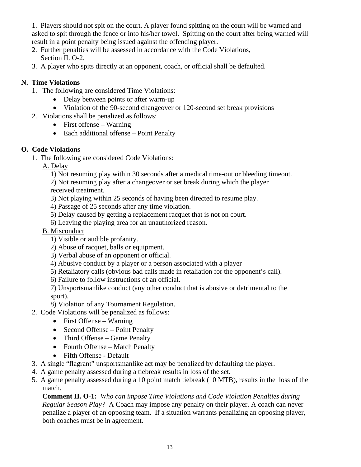1. Players should not spit on the court. A player found spitting on the court will be warned and asked to spit through the fence or into his/her towel. Spitting on the court after being warned will result in a point penalty being issued against the offending player.

- 2. Further penalties will be assessed in accordance with the Code Violations, Section II. O-2.
- 3. A player who spits directly at an opponent, coach, or official shall be defaulted.

# **N. Time Violations**

- 1. The following are considered Time Violations:
	- Delay between points or after warm-up
	- Violation of the 90-second changeover or 120-second set break provisions
- 2. Violations shall be penalized as follows:
	- First offense Warning
	- Each additional offense Point Penalty

# **O. Code Violations**

- 1. The following are considered Code Violations:
	- A. Delay
		- 1) Not resuming play within 30 seconds after a medical time-out or bleeding timeout.
		- 2) Not resuming play after a changeover or set break during which the player received treatment.
		- 3) Not playing within 25 seconds of having been directed to resume play.
		- 4) Passage of 25 seconds after any time violation.
		- 5) Delay caused by getting a replacement racquet that is not on court.
		- 6) Leaving the playing area for an unauthorized reason.
	- B. Misconduct
		- 1) Visible or audible profanity.
		- 2) Abuse of racquet, balls or equipment.
		- 3) Verbal abuse of an opponent or official.
		- 4) Abusive conduct by a player or a person associated with a player
		- 5) Retaliatory calls (obvious bad calls made in retaliation for the opponent's call).
		- 6) Failure to follow instructions of an official.
		- 7) Unsportsmanlike conduct (any other conduct that is abusive or detrimental to the sport).
		- 8) Violation of any Tournament Regulation.
- 2. Code Violations will be penalized as follows:
	- First Offense Warning
	- Second Offense Point Penalty
	- Third Offense Game Penalty
	- Fourth Offense Match Penalty
	- Fifth Offense Default
- 3. A single "flagrant" unsportsmanlike act may be penalized by defaulting the player.
- 4. A game penalty assessed during a tiebreak results in loss of the set.
- 5. A game penalty assessed during a 10 point match tiebreak (10 MTB), results in the loss of the match.

**Comment II. O-1:** *Who can impose Time Violations and Code Violation Penalties during Regular Season Play?* A Coach may impose any penalty on their player. A coach can never penalize a player of an opposing team. If a situation warrants penalizing an opposing player, both coaches must be in agreement.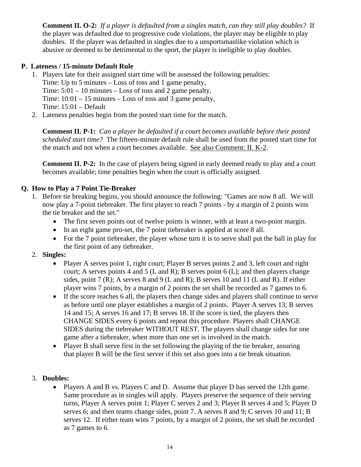**Comment II. O-2:** *If a player is defaulted from a singles match, can they still play doubles?* If the player was defaulted due to progressive code violations, the player may be eligible to play doubles. If the player was defaulted in singles due to a unsportsmanlike violation which is abusive or deemed to be detrimental to the sport, the player is ineligible to play doubles.

# **P. Lateness / 15-minute Default Rule**

- 1. Players late for their assigned start time will be assessed the following penalties: Time: Up to 5 minutes – Loss of toss and 1 game penalty, Time:  $5:01 - 10$  minutes – Loss of toss and 2 game penalty, Time:  $10:01 - 15$  minutes – Loss of toss and 3 game penalty, Time: 15:01 – Default
- 2. Lateness penalties begin from the posted start time for the match.

**Comment II. P-1:** *Can a player be defaulted if a court becomes available before their posted scheduled start time?* The fifteen-minute default rule shall be used from the posted start time for the match and not when a court becomes available. See also Comment: II. K-2.

**Comment II. P-2:**In the case of players being signed in early deemed ready to play and a court becomes available; time penalties begin when the court is officially assigned*.* 

# **Q. How to Play a 7 Point Tie-Breaker**

- 1. Before tie breaking begins, you should announce the following: "Games are now 8 all. We will now play a 7-point tiebreaker. The first player to reach 7 points - by a margin of 2 points wins the tie breaker and the set."
	- The first seven points out of twelve points is winner, with at least a two-point margin.
	- In an eight game pro-set, the 7 point tiebreaker is applied at score 8 all.
	- For the 7 point tiebreaker, the player whose turn it is to serve shall put the ball in play for the first point of any tiebreaker.

# 2. **Singles:**

- Player A serves point 1, right court; Player B serves points 2 and 3, left court and right court; A serves points 4 and 5 (L and R); B serves point 6 (L); and then players change sides, point 7 (R); A serves 8 and 9 (L and R); B serves 10 and 11 (L and R). If either player wins 7 points, by a margin of 2 points the set shall be recorded as 7 games to 6.
- If the score reaches 6 all, the players then change sides and players shall continue to serve as before until one player establishes a margin of 2 points. Player A serves 13; B serves 14 and 15; A serves 16 and 17; B serves 18. If the score is tied, the players then CHANGE SIDES every 6 points and repeat this procedure. Players shall CHANGE SIDES during the tiebreaker WITHOUT REST. The players shall change sides for one game after a tiebreaker, when more than one set is involved in the match.
- Player B shall serve first in the set following the playing of the tie breaker, assuring that player B will be the first server if this set also goes into a tie break situation.

# 3. **Doubles:**

• Players A and B vs. Players C and D. Assume that player D has served the 12th game. Same procedure as in singles will apply. Players preserve the sequence of their serving turns, Player A serves point 1; Player C serves 2 and 3; Player B serves 4 and 5; Player D serves 6; and then teams change sides, point 7. A serves 8 and 9; C serves 10 and 11; B serves 12. If either team wins 7 points, by a margin of 2 points, the set shall be recorded as 7 games to 6.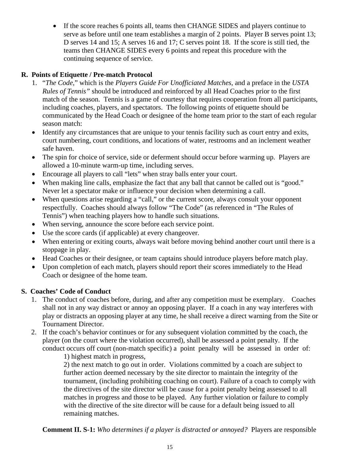• If the score reaches 6 points all, teams then CHANGE SIDES and players continue to serve as before until one team establishes a margin of 2 points. Player B serves point 13; D serves 14 and 15; A serves 16 and 17; C serves point 18. If the score is still tied, the teams then CHANGE SIDES every 6 points and repeat this procedure with the continuing sequence of service.

# **R. Points of Etiquette / Pre-match Protocol**

- 1. "*The Code*," which is the *Players Guide For Unofficiated Matches*, and a preface in the *USTA Rules of Tennis"* should be introduced and reinforced by all Head Coaches prior to the first match of the season. Tennis is a game of courtesy that requires cooperation from all participants, including coaches, players, and spectators. The following points of etiquette should be communicated by the Head Coach or designee of the home team prior to the start of each regular season match:
- Identify any circumstances that are unique to your tennis facility such as court entry and exits, court numbering, court conditions, and locations of water, restrooms and an inclement weather safe haven.
- The spin for choice of service, side or deferment should occur before warming up. Players are allowed a 10-minute warm-up time, including serves.
- Encourage all players to call "lets" when stray balls enter your court.
- When making line calls, emphasize the fact that any ball that cannot be called out is "good." Never let a spectator make or influence your decision when determining a call.
- When questions arise regarding a "call," or the current score, always consult your opponent respectfully. Coaches should always follow "The Code" (as referenced in "The Rules of Tennis") when teaching players how to handle such situations.
- When serving, announce the score before each service point.
- Use the score cards (if applicable) at every changeover.
- When entering or exiting courts, always wait before moving behind another court until there is a stoppage in play.
- Head Coaches or their designee, or team captains should introduce players before match play.
- Upon completion of each match, players should report their scores immediately to the Head Coach or designee of the home team.

# **S. Coaches' Code of Conduct**

- 1. The conduct of coaches before, during, and after any competition must be exemplary. Coaches shall not in any way distract or annoy an opposing player. If a coach in any way interferes with play or distracts an opposing player at any time, he shall receive a direct warning from the Site or Tournament Director.
- 2. If the coach's behavior continues or for any subsequent violation committed by the coach, the player (on the court where the violation occurred), shall be assessed a point penalty. If the conduct occurs off court (non-match specific) a point penalty will be assessed in order of: 1) highest match in progress,

2) the next match to go out in order. Violations committed by a coach are subject to further action deemed necessary by the site director to maintain the integrity of the tournament, (including prohibiting coaching on court). Failure of a coach to comply with the directives of the site director will be cause for a point penalty being assessed to all matches in progress and those to be played. Any further violation or failure to comply with the directive of the site director will be cause for a default being issued to all remaining matches.

**Comment II. S-1:** *Who determines if a player is distracted or annoyed?* Players are responsible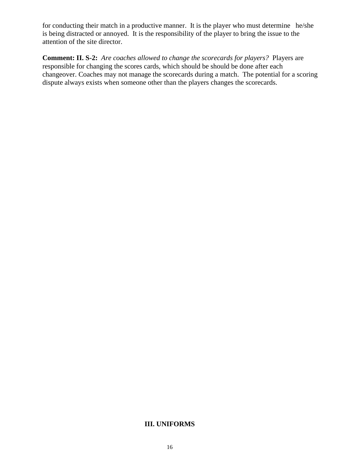for conducting their match in a productive manner. It is the player who must determine he/she is being distracted or annoyed. It is the responsibility of the player to bring the issue to the attention of the site director.

**Comment: II. S-2:** *Are coaches allowed to change the scorecards for players?* Players are responsible for changing the scores cards, which should be should be done after each changeover. Coaches may not manage the scorecards during a match. The potential for a scoring dispute always exists when someone other than the players changes the scorecards.

#### **III. UNIFORMS**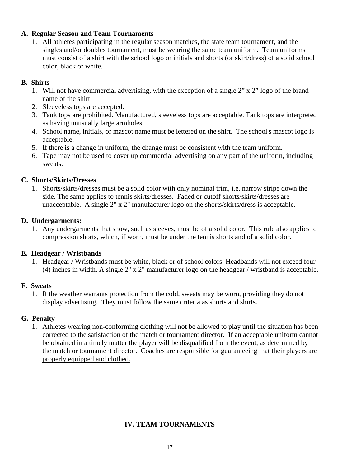#### **A. Regular Season and Team Tournaments**

1. All athletes participating in the regular season matches, the state team tournament, and the singles and/or doubles tournament, must be wearing the same team uniform. Team uniforms must consist of a shirt with the school logo or initials and shorts (or skirt/dress) of a solid school color, black or white.

## **B. Shirts**

- 1. Will not have commercial advertising, with the exception of a single 2" x 2" logo of the brand name of the shirt.
- 2. Sleeveless tops are accepted.
- 3. Tank tops are prohibited. Manufactured, sleeveless tops are acceptable. Tank tops are interpreted as having unusually large armholes.
- 4. School name, initials, or mascot name must be lettered on the shirt. The school's mascot logo is acceptable.
- 5. If there is a change in uniform, the change must be consistent with the team uniform.
- 6. Tape may not be used to cover up commercial advertising on any part of the uniform, including sweats.

## **C. Shorts/Skirts/Dresses**

1. Shorts/skirts/dresses must be a solid color with only nominal trim, i.e. narrow stripe down the side. The same applies to tennis skirts/dresses. Faded or cutoff shorts/skirts/dresses are unacceptable. A single 2" x 2" manufacturer logo on the shorts/skirts/dress is acceptable.

## **D. Undergarments:**

1. Any undergarments that show, such as sleeves, must be of a solid color. This rule also applies to compression shorts, which, if worn, must be under the tennis shorts and of a solid color.

# **E. Headgear / Wristbands**

1. Headgear / Wristbands must be white, black or of school colors. Headbands will not exceed four (4) inches in width. A single 2" x 2" manufacturer logo on the headgear / wristband is acceptable.

## **F. Sweats**

1. If the weather warrants protection from the cold, sweats may be worn, providing they do not display advertising. They must follow the same criteria as shorts and shirts.

## **G. Penalty**

 1. Athletes wearing non-conforming clothing will not be allowed to play until the situation has been corrected to the satisfaction of the match or tournament director. If an acceptable uniform cannot be obtained in a timely matter the player will be disqualified from the event, as determined by the match or tournament director. Coaches are responsible for guaranteeing that their players are properly equipped and clothed.

# **IV. TEAM TOURNAMENTS**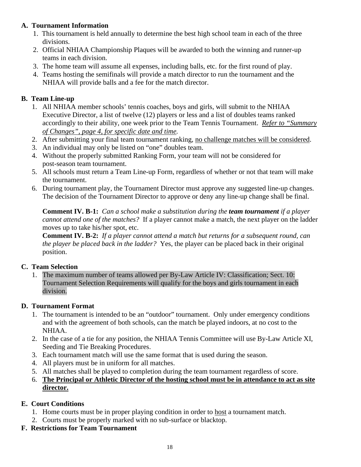# **A. Tournament Information**

- 1. This tournament is held annually to determine the best high school team in each of the three divisions.
- 2. Official NHIAA Championship Plaques will be awarded to both the winning and runner-up teams in each division.
- 3. The home team will assume all expenses, including balls, etc. for the first round of play.
- 4. Teams hosting the semifinals will provide a match director to run the tournament and the NHIAA will provide balls and a fee for the match director.

# **B. Team Line-up**

- 1. All NHIAA member schools' tennis coaches, boys and girls, will submit to the NHIAA Executive Director, a list of twelve (12) players or less and a list of doubles teams ranked accordingly to their ability, one week prior to the Team Tennis Tournament. *Refer to "Summary of Changes", page 4, for specific date and time.*
- 2. After submitting your final team tournament ranking, no challenge matches will be considered.
- 3. An individual may only be listed on "one" doubles team.
- 4. Without the properly submitted Ranking Form, your team will not be considered for post-season team tournament.
- 5. All schools must return a Team Line-up Form, regardless of whether or not that team will make the tournament.
- 6. During tournament play, the Tournament Director must approve any suggested line-up changes. The decision of the Tournament Director to approve or deny any line-up change shall be final.

**Comment IV. B-1:** *Can a school make a substitution during the team tournament if a player cannot attend one of the matches?* If a player cannot make a match, the next player on the ladder moves up to take his/her spot, etc.

**Comment IV. B-2:** *If a player cannot attend a match but returns for a subsequent round, can the player be placed back in the ladder?* Yes, the player can be placed back in their original position.

# **C. Team Selection**

1. The maximum number of teams allowed per By-Law Article IV: Classification; Sect. 10: Tournament Selection Requirements will qualify for the boys and girls tournament in each division.

# **D. Tournament Format**

- 1. The tournament is intended to be an "outdoor" tournament. Only under emergency conditions and with the agreement of both schools, can the match be played indoors, at no cost to the NHIAA.
- 2. In the case of a tie for any position, the NHIAA Tennis Committee will use By-Law Article XI, Seeding and Tie Breaking Procedures.
- 3. Each tournament match will use the same format that is used during the season.
- 4. All players must be in uniform for all matches.
- 5. All matches shall be played to completion during the team tournament regardless of score.
- 6. **The Principal or Athletic Director of the hosting school must be in attendance to act as site director.**

# **E. Court Conditions**

- 1. Home courts must be in proper playing condition in order to host a tournament match.
- 2. Courts must be properly marked with no sub-surface or blacktop.
- **F. Restrictions for Team Tournament**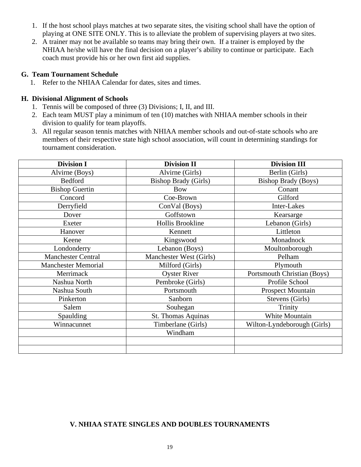- 1. If the host school plays matches at two separate sites, the visiting school shall have the option of playing at ONE SITE ONLY. This is to alleviate the problem of supervising players at two sites.
- 2. A trainer may not be available so teams may bring their own. If a trainer is employed by the NHIAA he/she will have the final decision on a player's ability to continue or participate. Each coach must provide his or her own first aid supplies.

#### **G. Team Tournament Schedule**

1. Refer to the NHIAA Calendar for dates, sites and times.

#### **H. Divisional Alignment of Schools**

- 1. Tennis will be composed of three (3) Divisions; I, II, and III.
- 2. Each team MUST play a minimum of ten (10) matches with NHIAA member schools in their division to qualify for team playoffs.
- 3. All regular season tennis matches with NHIAA member schools and out-of-state schools who are members of their respective state high school association, will count in determining standings for tournament consideration.

| <b>Division I</b>          | <b>Division II</b>          | <b>Division III</b>         |
|----------------------------|-----------------------------|-----------------------------|
| Alvirne (Boys)             | Alvirne (Girls)             | Berlin (Girls)              |
| Bedford                    | <b>Bishop Brady (Girls)</b> | <b>Bishop Brady (Boys)</b>  |
| <b>Bishop Guertin</b>      | <b>Bow</b>                  | Conant                      |
| Concord                    | Coe-Brown                   | Gilford                     |
| Derryfield                 | ConVal (Boys)               | Inter-Lakes                 |
| Dover                      | Goffstown                   | Kearsarge                   |
| Exeter                     | Hollis Brookline            | Lebanon (Girls)             |
| Hanover                    | Kennett                     | Littleton                   |
| Keene                      | Kingswood                   | Monadnock                   |
| Londonderry                | Lebanon (Boys)              | Moultonborough              |
| <b>Manchester Central</b>  | Manchester West (Girls)     | Pelham                      |
| <b>Manchester Memorial</b> | Milford (Girls)             | Plymouth                    |
| Merrimack                  | <b>Oyster River</b>         | Portsmouth Christian (Boys) |
| Nashua North               | Pembroke (Girls)            | Profile School              |
| Nashua South               | Portsmouth                  | <b>Prospect Mountain</b>    |
| Pinkerton                  | Sanborn                     | Stevens (Girls)             |
| Salem                      | Souhegan                    | Trinity                     |
| Spaulding                  | St. Thomas Aquinas          | White Mountain              |
| Winnacunnet                | Timberlane (Girls)          | Wilton-Lyndeborough (Girls) |
|                            | Windham                     |                             |
|                            |                             |                             |
|                            |                             |                             |

## **V. NHIAA STATE SINGLES AND DOUBLES TOURNAMENTS**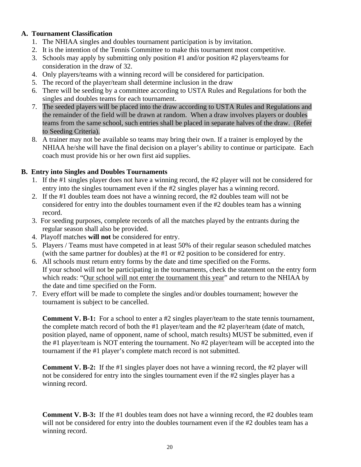## **A. Tournament Classification**

- 1. The NHIAA singles and doubles tournament participation is by invitation.
- 2. It is the intention of the Tennis Committee to make this tournament most competitive.
- 3. Schools may apply by submitting only position #1 and/or position #2 players/teams for consideration in the draw of 32.
- 4. Only players/teams with a winning record will be considered for participation.
- 5. The record of the player/team shall determine inclusion in the draw
- 6. There will be seeding by a committee according to USTA Rules and Regulations for both the singles and doubles teams for each tournament.
- 7. The seeded players will be placed into the draw according to USTA Rules and Regulations and the remainder of the field will be drawn at random. When a draw involves players or doubles teams from the same school, such entries shall be placed in separate halves of the draw. (Refer to Seeding Criteria).
- 8. A trainer may not be available so teams may bring their own. If a trainer is employed by the NHIAA he/she will have the final decision on a player's ability to continue or participate. Each coach must provide his or her own first aid supplies.

# **B. Entry into Singles and Doubles Tournaments**

- 1. If the #1 singles player does not have a winning record, the #2 player will not be considered for entry into the singles tournament even if the #2 singles player has a winning record.
- 2. If the #1 doubles team does not have a winning record, the #2 doubles team will not be considered for entry into the doubles tournament even if the #2 doubles team has a winning record.
- 3. For seeding purposes, complete records of all the matches played by the entrants during the regular season shall also be provided.
- 4. Playoff matches **will not** be considered for entry.
- 5. Players / Teams must have competed in at least 50% of their regular season scheduled matches (with the same partner for doubles) at the #1 or #2 position to be considered for entry.
- 6. All schools must return entry forms by the date and time specified on the Forms. If your school will not be participating in the tournaments, check the statement on the entry form which reads: "Our school will not enter the tournament this year" and return to the NHIAA by the date and time specified on the Form.
- 7. Every effort will be made to complete the singles and/or doubles tournament; however the tournament is subject to be cancelled.

**Comment V. B-1:** For a school to enter a #2 singles player/team to the state tennis tournament, the complete match record of both the #1 player/team and the #2 player/team (date of match, position played, name of opponent, name of school, match results) MUST be submitted, even if the #1 player/team is NOT entering the tournament. No #2 player/team will be accepted into the tournament if the #1 player's complete match record is not submitted.

**Comment V. B-2:** If the #1 singles player does not have a winning record, the #2 player will not be considered for entry into the singles tournament even if the #2 singles player has a winning record.

**Comment V. B-3:** If the #1 doubles team does not have a winning record, the #2 doubles team will not be considered for entry into the doubles tournament even if the #2 doubles team has a winning record.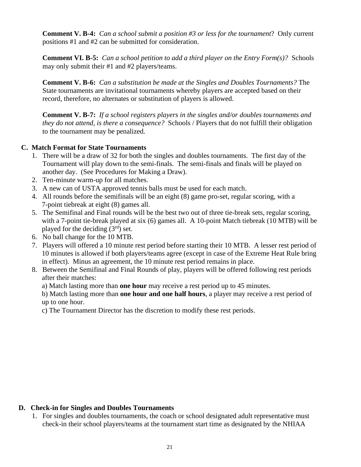**Comment V. B-4:** *Can a school submit a position #3 or less for the tournament*? Only current positions #1 and #2 can be submitted for consideration.

**Comment VI. B-5:** *Can a school petition to add a third player on the Entry Form(s)?* Schools may only submit their #1 and #2 players/teams.

**Comment V. B-6:** *Can a substitution be made at the Singles and Doubles Tournaments?* The State tournaments are invitational tournaments whereby players are accepted based on their record, therefore, no alternates or substitution of players is allowed.

**Comment V. B-7:** *If a school registers players in the singles and/or doubles tournaments and they do not attend, is there a consequence?* Schools / Players that do not fulfill their obligation to the tournament may be penalized.

## **C. Match Format for State Tournaments**

- 1. There will be a draw of 32 for both the singles and doubles tournaments. The first day of the Tournament will play down to the semi-finals. The semi-finals and finals will be played on another day. (See Procedures for Making a Draw).
- 2. Ten-minute warm-up for all matches.
- 3. A new can of USTA approved tennis balls must be used for each match.
- 4. All rounds before the semifinals will be an eight (8) game pro-set, regular scoring, with a 7-point tiebreak at eight (8) games all.
- 5. The Semifinal and Final rounds will be the best two out of three tie-break sets, regular scoring, with a 7-point tie-break played at six (6) games all. A 10-point Match tiebreak (10 MTB) will be played for the deciding  $(3<sup>rd</sup>)$  set.
- 6. No ball change for the 10 MTB.
- 7. Players will offered a 10 minute rest period before starting their 10 MTB. A lesser rest period of 10 minutes is allowed if both players/teams agree (except in case of the Extreme Heat Rule bring in effect). Minus an agreement, the 10 minute rest period remains in place.
- 8. Between the Semifinal and Final Rounds of play, players will be offered following rest periods after their matches:

a) Match lasting more than **one hour** may receive a rest period up to 45 minutes.

b) Match lasting more than **one hour and one half hours**, a player may receive a rest period of up to one hour.

c) The Tournament Director has the discretion to modify these rest periods.

## **D. Check-in for Singles and Doubles Tournaments**

1. For singles and doubles tournaments, the coach or school designated adult representative must check-in their school players/teams at the tournament start time as designated by the NHIAA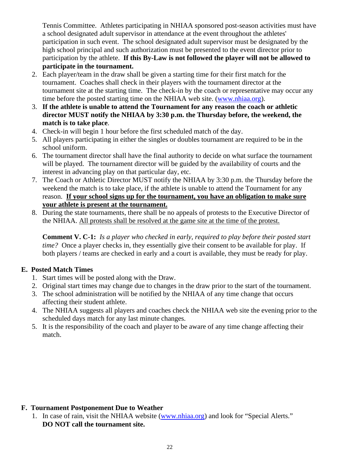Tennis Committee. Athletes participating in NHIAA sponsored post-season activities must have a school designated adult supervisor in attendance at the event throughout the athletes' participation in such event. The school designated adult supervisor must be designated by the high school principal and such authorization must be presented to the event director prior to participation by the athlete. **If this By-Law is not followed the player will not be allowed to participate in the tournament.** 

- 2. Each player/team in the draw shall be given a starting time for their first match for the tournament. Coaches shall check in their players with the tournament director at the tournament site at the starting time. The check-in by the coach or representative may occur any time before the posted starting time on the NHIAA web site. [\(www.nhiaa.org\)](http://www.nhiaa.org/).
- 3. **If the athlete is unable to attend the Tournament for any reason the coach or athletic director MUST notify the NHIAA by 3:30 p.m. the Thursday before, the weekend, the match is to take place**.
- 4. Check-in will begin 1 hour before the first scheduled match of the day.
- 5. All players participating in either the singles or doubles tournament are required to be in the school uniform.
- 6. The tournament director shall have the final authority to decide on what surface the tournament will be played. The tournament director will be guided by the availability of courts and the interest in advancing play on that particular day, etc.
- 7. The Coach or Athletic Director MUST notify the NHIAA by 3:30 p.m. the Thursday before the weekend the match is to take place, if the athlete is unable to attend the Tournament for any reason. **If your school signs up for the tournament, you have an obligation to make sure your athlete is present at the tournament.**
- 8. During the state tournaments, there shall be no appeals of protests to the Executive Director of the NHIAA. All protests shall be resolved at the game site at the time of the protest.

**Comment V. C-1:** *Is a player who checked in early, required to play before their posted start time?* Once a player checks in, they essentially give their consent to be available for play. If both players / teams are checked in early and a court is available, they must be ready for play.

# **E. Posted Match Times**

- 1. Start times will be posted along with the Draw.
- 2. Original start times may change due to changes in the draw prior to the start of the tournament.
- 3. The school administration will be notified by the NHIAA of any time change that occurs affecting their student athlete.
- 4. The NHIAA suggests all players and coaches check the NHIAA web site the evening prior to the scheduled days match for any last minute changes.
- 5. It is the responsibility of the coach and player to be aware of any time change affecting their match.

# **F. Tournament Postponement Due to Weather**

1. In case of rain, visit the NHIAA website [\(www.nhiaa.org\)](http://www.nhiaa.org/) and look for "Special Alerts." **DO NOT call the tournament site.**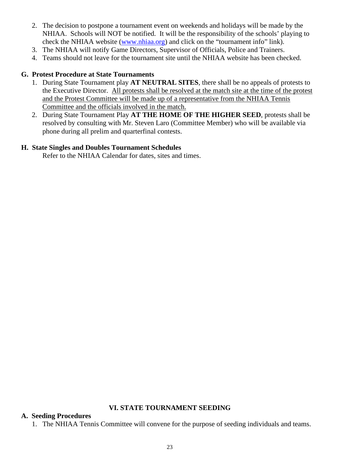- 2. The decision to postpone a tournament event on weekends and holidays will be made by the NHIAA. Schools will NOT be notified. It will be the responsibility of the schools' playing to check the NHIAA website [\(www.nhiaa.org\)](http://www.nhiaa.org/) and click on the "tournament info" link).
- 3. The NHIAA will notify Game Directors, Supervisor of Officials, Police and Trainers.
- 4. Teams should not leave for the tournament site until the NHIAA website has been checked.

#### **G. Protest Procedure at State Tournaments**

- 1. During State Tournament play **AT NEUTRAL SITES**, there shall be no appeals of protests to the Executive Director. All protests shall be resolved at the match site at the time of the protest and the Protest Committee will be made up of a representative from the NHIAA Tennis Committee and the officials involved in the match.
- 2. During State Tournament Play **AT THE HOME OF THE HIGHER SEED**, protests shall be resolved by consulting with Mr. Steven Laro (Committee Member) who will be available via phone during all prelim and quarterfinal contests.

#### **H. State Singles and Doubles Tournament Schedules**

Refer to the NHIAA Calendar for dates, sites and times.

#### **VI. STATE TOURNAMENT SEEDING**

#### **A. Seeding Procedures**

1. The NHIAA Tennis Committee will convene for the purpose of seeding individuals and teams.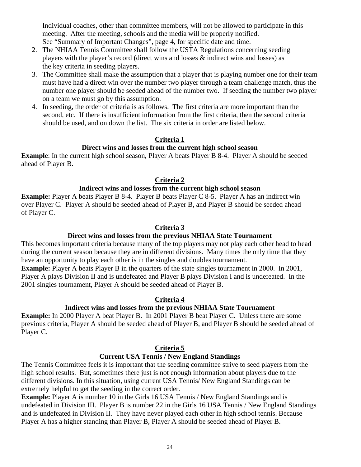Individual coaches, other than committee members, will not be allowed to participate in this meeting. After the meeting, schools and the media will be properly notified. See "Summary of Important Changes", page 4, for specific date and time.

- 2. The NHIAA Tennis Committee shall follow the USTA Regulations concerning seeding players with the player's record (direct wins and losses & indirect wins and losses) as the key criteria in seeding players.
- 3. The Committee shall make the assumption that a player that is playing number one for their team must have had a direct win over the number two player through a team challenge match, thus the number one player should be seeded ahead of the number two. If seeding the number two player on a team we must go by this assumption.
- 4. In seeding, the order of criteria is as follows. The first criteria are more important than the second, etc. If there is insufficient information from the first criteria, then the second criteria should be used, and on down the list. The six criteria in order are listed below.

## **Criteria 1**

## **Direct wins and losses from the current high school season**

**Example**: In the current high school season, Player A beats Player B 8-4. Player A should be seeded ahead of Player B.

## **Criteria 2**

## **Indirect wins and losses from the current high school season**

**Example:** Player A beats Player B 8-4. Player B beats Player C 8-5. Player A has an indirect win over Player C. Player A should be seeded ahead of Player B, and Player B should be seeded ahead of Player C.

## **Criteria 3**

## **Direct wins and losses from the previous NHIAA State Tournament**

This becomes important criteria because many of the top players may not play each other head to head during the current season because they are in different divisions. Many times the only time that they have an opportunity to play each other is in the singles and doubles tournament.

**Example:** Player A beats Player B in the quarters of the state singles tournament in 2000. In 2001, Player A plays Division II and is undefeated and Player B plays Division I and is undefeated. In the 2001 singles tournament, Player A should be seeded ahead of Player B.

## **Criteria 4**

## **Indirect wins and losses from the previous NHIAA State Tournament**

**Example:** In 2000 Player A beat Player B. In 2001 Player B beat Player C. Unless there are some previous criteria, Player A should be seeded ahead of Player B, and Player B should be seeded ahead of Player C.

## **Criteria 5**

## **Current USA Tennis / New England Standings**

The Tennis Committee feels it is important that the seeding committee strive to seed players from the high school results. But, sometimes there just is not enough information about players due to the different divisions. In this situation, using current USA Tennis/ New England Standings can be extremely helpful to get the seeding in the correct order.

**Example:** Player A is number 10 in the Girls 16 USA Tennis / New England Standings and is undefeated in Division III. Player B is number 22 in the Girls 16 USA Tennis / New England Standings and is undefeated in Division II. They have never played each other in high school tennis. Because Player A has a higher standing than Player B, Player A should be seeded ahead of Player B.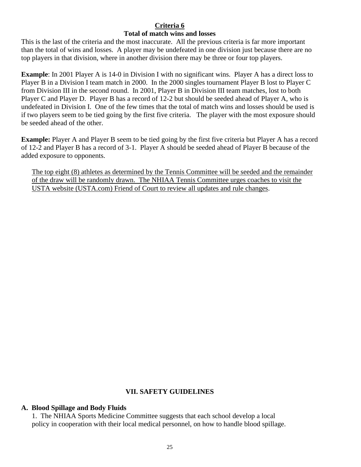#### **Criteria 6 Total of match wins and losses**

This is the last of the criteria and the most inaccurate. All the previous criteria is far more important than the total of wins and losses. A player may be undefeated in one division just because there are no top players in that division, where in another division there may be three or four top players.

**Example**: In 2001 Player A is 14-0 in Division I with no significant wins. Player A has a direct loss to Player B in a Division I team match in 2000. In the 2000 singles tournament Player B lost to Player C from Division III in the second round. In 2001, Player B in Division III team matches, lost to both Player C and Player D. Player B has a record of 12-2 but should be seeded ahead of Player A, who is undefeated in Division I. One of the few times that the total of match wins and losses should be used is if two players seem to be tied going by the first five criteria. The player with the most exposure should be seeded ahead of the other.

**Example:** Player A and Player B seem to be tied going by the first five criteria but Player A has a record of 12-2 and Player B has a record of 3-1. Player A should be seeded ahead of Player B because of the added exposure to opponents.

The top eight (8) athletes as determined by the Tennis Committee will be seeded and the remainder of the draw will be randomly drawn. The NHIAA Tennis Committee urges coaches to visit the USTA website (USTA.com) Friend of Court to review all updates and rule changes.

## **VII. SAFETY GUIDELINES**

#### **A. Blood Spillage and Body Fluids**

1. The NHIAA Sports Medicine Committee suggests that each school develop a local policy in cooperation with their local medical personnel, on how to handle blood spillage.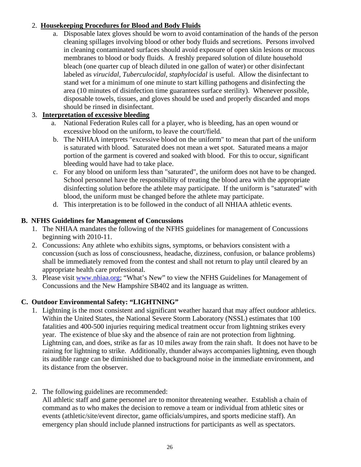# 2. **Housekeeping Procedures for Blood and Body Fluids**

a. Disposable latex gloves should be worn to avoid contamination of the hands of the person cleaning spillages involving blood or other body fluids and secretions. Persons involved in cleaning contaminated surfaces should avoid exposure of open skin lesions or mucous membranes to blood or body fluids. A freshly prepared solution of dilute household bleach (one quarter cup of bleach diluted in one gallon of water) or other disinfectant labeled as *virucidal, Tuberculocidal, staphylocidal* is useful. Allow the disinfectant to stand wet for a minimum of one minute to start killing pathogens and disinfecting the area (10 minutes of disinfection time guarantees surface sterility). Whenever possible, disposable towels, tissues, and gloves should be used and properly discarded and mops should be rinsed in disinfectant.

# 3. **Interpretation of excessive bleeding**

- a. National Federation Rules call for a player, who is bleeding, has an open wound or excessive blood on the uniform, to leave the court/field.
- b. The NHIAA interprets "excessive blood on the uniform" to mean that part of the uniform is saturated with blood. Saturated does not mean a wet spot. Saturated means a major portion of the garment is covered and soaked with blood. For this to occur, significant bleeding would have had to take place.
- c. For any blood on uniform less than "saturated", the uniform does not have to be changed. School personnel have the responsibility of treating the blood area with the appropriate disinfecting solution before the athlete may participate. If the uniform is "saturated" with blood, the uniform must be changed before the athlete may participate.
- d. This interpretation is to be followed in the conduct of all NHIAA athletic events.

## **B. NFHS Guidelines for Management of Concussions**

- 1. The NHIAA mandates the following of the NFHS guidelines for management of Concussions beginning with 2010-11.
- 2. Concussions: Any athlete who exhibits signs, symptoms, or behaviors consistent with a concussion (such as loss of consciousness, headache, dizziness, confusion, or balance problems) shall be immediately removed from the contest and shall not return to play until cleared by an appropriate health care professional.
- 3. Please visit [www.nhiaa.org;](http://www.nhiaa.org/) "What's New" to view the NFHS Guidelines for Management of Concussions and the New Hampshire SB402 and its language as written.

# **C. Outdoor Environmental Safety: "LIGHTNING"**

- 1. Lightning is the most consistent and significant weather hazard that may affect outdoor athletics. Within the United States, the National Severe Storm Laboratory (NSSL) estimates that 100 fatalities and 400-500 injuries requiring medical treatment occur from lightning strikes every year. The existence of blue sky and the absence of rain are not protection from lightning. Lightning can, and does, strike as far as 10 miles away from the rain shaft. It does not have to be raining for lightning to strike. Additionally, thunder always accompanies lightning, even though its audible range can be diminished due to background noise in the immediate environment, and its distance from the observer.
- 2. The following guidelines are recommended:

All athletic staff and game personnel are to monitor threatening weather. Establish a chain of command as to who makes the decision to remove a team or individual from athletic sites or events (athletic/site/event director, game officials/umpires, and sports medicine staff). An emergency plan should include planned instructions for participants as well as spectators.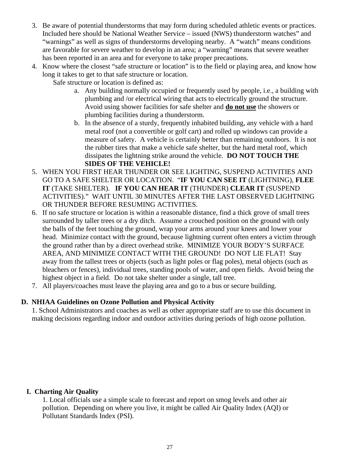- 3. Be aware of potential thunderstorms that may form during scheduled athletic events or practices. Included here should be National Weather Service – issued (NWS) thunderstorm watches" and "warnings" as well as signs of thunderstorms developing nearby. A "watch" means conditions are favorable for severe weather to develop in an area; a "warning" means that severe weather has been reported in an area and for everyone to take proper precautions.
- 4. Know where the closest "safe structure or location" is to the field or playing area, and know how long it takes to get to that safe structure or location.
	- Safe structure or location is defined as:
		- a. Any building normally occupied or frequently used by people, i.e., a building with plumbing and /or electrical wiring that acts to electrically ground the structure. Avoid using shower facilities for safe shelter and **do not use** the showers or plumbing facilities during a thunderstorm.
		- b. In the absence of a sturdy, frequently inhabited building, any vehicle with a hard metal roof (not a convertible or golf cart) and rolled up windows can provide a measure of safety. A vehicle is certainly better than remaining outdoors. It is not the rubber tires that make a vehicle safe shelter, but the hard metal roof, which dissipates the lightning strike around the vehicle. **DO NOT TOUCH THE SIDES OF THE VEHICLE!**
- 5. WHEN YOU FIRST HEAR THUNDER OR SEE LIGHTING, SUSPEND ACTIVITIES AND GO TO A SAFE SHELTER OR LOCATION. "**IF YOU CAN SEE IT** (LIGHTNING), **FLEE IT** (TAKE SHELTER). **IF YOU CAN HEAR IT** (THUNDER) **CLEAR IT** (SUSPEND ACTIVITIES)." WAIT UNTIL 30 MINUTES AFTER THE LAST OBSERVED LIGHTNING OR THUNDER BEFORE RESUMING ACTIVITIES.
- 6. If no safe structure or location is within a reasonable distance, find a thick grove of small trees surrounded by taller trees or a dry ditch. Assume a crouched position on the ground with only the balls of the feet touching the ground, wrap your arms around your knees and lower your head. Minimize contact with the ground, because lightning current often enters a victim through the ground rather than by a direct overhead strike. MINIMIZE YOUR BODY'S SURFACE AREA, AND MINIMIZE CONTACT WITH THE GROUND! DO NOT LIE FLAT! Stay away from the tallest trees or objects (such as light poles or flag poles), metal objects (such as bleachers or fences), individual trees, standing pools of water, and open fields. Avoid being the highest object in a field. Do not take shelter under a single, tall tree.
- 7. All players/coaches must leave the playing area and go to a bus or secure building.

## **D. NHIAA Guidelines on Ozone Pollution and Physical Activity**

1. School Administrators and coaches as well as other appropriate staff are to use this document in making decisions regarding indoor and outdoor activities during periods of high ozone pollution.

## **I. Charting Air Quality**

1. Local officials use a simple scale to forecast and report on smog levels and other air pollution. Depending on where you live, it might be called Air Quality Index (AQI) or Pollutant Standards Index (PSI).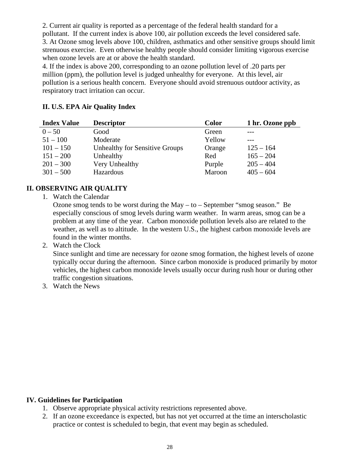2. Current air quality is reported as a percentage of the federal health standard for a pollutant. If the current index is above 100, air pollution exceeds the level considered safe. 3. At Ozone smog levels above 100, children, asthmatics and other sensitive groups should limit strenuous exercise. Even otherwise healthy people should consider limiting vigorous exercise when ozone levels are at or above the health standard.

4. If the index is above 200, corresponding to an ozone pollution level of .20 parts per million (ppm), the pollution level is judged unhealthy for everyone. At this level, air pollution is a serious health concern. Everyone should avoid strenuous outdoor activity, as respiratory tract irritation can occur.

## **II. U.S. EPA Air Quality Index**

| <b>Index Value</b> | <b>Descriptor</b>              | <b>Color</b> | 1 hr. Ozone ppb |
|--------------------|--------------------------------|--------------|-----------------|
| $0 - 50$           | Good                           | Green        |                 |
| $51 - 100$         | Moderate                       | Yellow       |                 |
| $101 - 150$        | Unhealthy for Sensitive Groups | Orange       | $125 - 164$     |
| $151 - 200$        | Unhealthy                      | Red          | $165 - 204$     |
| $201 - 300$        | Very Unhealthy                 | Purple       | $205 - 404$     |
| $301 - 500$        | Hazardous                      | Maroon       | $405 - 604$     |

# **II. OBSERVING AIR QUALITY**

1. Watch the Calendar

Ozone smog tends to be worst during the May – to – September "smog season." Be especially conscious of smog levels during warm weather. In warm areas, smog can be a problem at any time of the year. Carbon monoxide pollution levels also are related to the weather, as well as to altitude. In the western U.S., the highest carbon monoxide levels are found in the winter months.

2. Watch the Clock

Since sunlight and time are necessary for ozone smog formation, the highest levels of ozone typically occur during the afternoon. Since carbon monoxide is produced primarily by motor vehicles, the highest carbon monoxide levels usually occur during rush hour or during other traffic congestion situations.

3. Watch the News

#### **IV. Guidelines for Participation**

- 1. Observe appropriate physical activity restrictions represented above.
- 2. If an ozone exceedance is expected, but has not yet occurred at the time an interscholastic practice or contest is scheduled to begin, that event may begin as scheduled.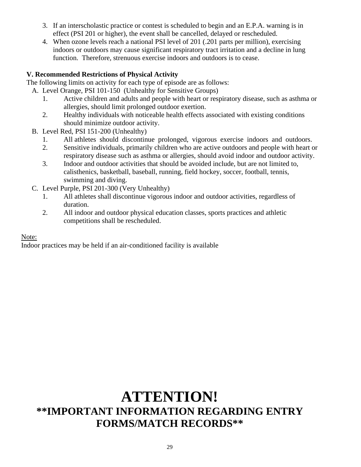- 3. If an interscholastic practice or contest is scheduled to begin and an E.P.A. warning is in effect (PSI 201 or higher), the event shall be cancelled, delayed or rescheduled.
- 4. When ozone levels reach a national PSI level of 201 (.201 parts per million), exercising indoors or outdoors may cause significant respiratory tract irritation and a decline in lung function. Therefore, strenuous exercise indoors and outdoors is to cease.

# **V. Recommended Restrictions of Physical Activity**

The following limits on activity for each type of episode are as follows:

- A. Level Orange, PSI 101-150 (Unhealthy for Sensitive Groups)
	- 1. Active children and adults and people with heart or respiratory disease, such as asthma or allergies, should limit prolonged outdoor exertion.
	- 2. Healthy individuals with noticeable health effects associated with existing conditions should minimize outdoor activity.
- B. Level Red, PSI 151-200 (Unhealthy)
	- 1. All athletes should discontinue prolonged, vigorous exercise indoors and outdoors.
	- 2. Sensitive individuals, primarily children who are active outdoors and people with heart or respiratory disease such as asthma or allergies, should avoid indoor and outdoor activity.
	- 3. Indoor and outdoor activities that should be avoided include, but are not limited to, calisthenics, basketball, baseball, running, field hockey, soccer, football, tennis, swimming and diving.
- C. Level Purple, PSI 201-300 (Very Unhealthy)
	- 1. All athletes shall discontinue vigorous indoor and outdoor activities, regardless of duration.
	- 2. All indoor and outdoor physical education classes, sports practices and athletic competitions shall be rescheduled.

Note:

Indoor practices may be held if an air-conditioned facility is available

# **ATTENTION! \*\*IMPORTANT INFORMATION REGARDING ENTRY FORMS/MATCH RECORDS\*\***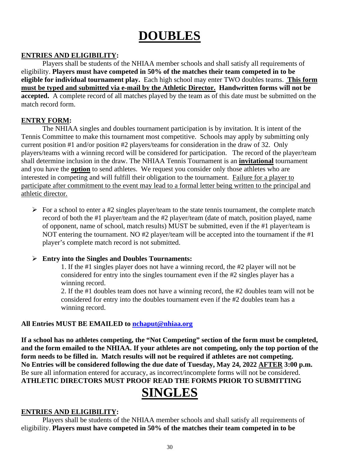# **DOUBLES**

## **ENTRIES AND ELIGIBILITY:**

Players shall be students of the NHIAA member schools and shall satisfy all requirements of eligibility. **Players must have competed in 50% of the matches their team competed in to be eligible for individual tournament play.** Each high school may enter TWO doubles teams. **This form must be typed and submitted via e-mail by the Athletic Director. Handwritten forms will not be accepted.** A complete record of all matches played by the team as of this date must be submitted on the match record form.

## **ENTRY FORM:**

The NHIAA singles and doubles tournament participation is by invitation. It is intent of the Tennis Committee to make this tournament most competitive. Schools may apply by submitting only current position #1 and/or position #2 players/teams for consideration in the draw of 32. Only players/teams with a winning record will be considered for participation. The record of the player/team shall determine inclusion in the draw. The NHIAA Tennis Tournament is an **invitational** tournament and you have the **option** to send athletes. We request you consider only those athletes who are interested in competing and will fulfill their obligation to the tournament. Failure for a player to participate after commitment to the event may lead to a formal letter being written to the principal and athletic director.

For a school to enter a #2 singles player/team to the state tennis tournament, the complete match record of both the #1 player/team and the #2 player/team (date of match, position played, name of opponent, name of school, match results) MUST be submitted, even if the #1 player/team is NOT entering the tournament. NO #2 player/team will be accepted into the tournament if the #1 player's complete match record is not submitted.

## **Entry into the Singles and Doubles Tournaments:**

1. If the #1 singles player does not have a winning record, the #2 player will not be considered for entry into the singles tournament even if the #2 singles player has a winning record.

2. If the #1 doubles team does not have a winning record, the #2 doubles team will not be considered for entry into the doubles tournament even if the #2 doubles team has a winning record.

# **All Entries MUST BE EMAILED to [nchaput@nhiaa.org](mailto:nchaput@nhiaa.org)**

**If a school has no athletes competing, the "Not Competing" section of the form must be completed, and the form emailed to the NHIAA. If your athletes are not competing, only the top portion of the form needs to be filled in. Match results will not be required if athletes are not competing. No Entries will be considered following the due date of Tuesday, May 24, 2022 AFTER 3:00 p.m.**  Be sure all information entered for accuracy, as incorrect/incomplete forms will not be considered. **ATHLETIC DIRECTORS MUST PROOF READ THE FORMS PRIOR TO SUBMITTING**

# **SINGLES**

# **ENTRIES AND ELIGIBILITY:**

Players shall be students of the NHIAA member schools and shall satisfy all requirements of eligibility. **Players must have competed in 50% of the matches their team competed in to be**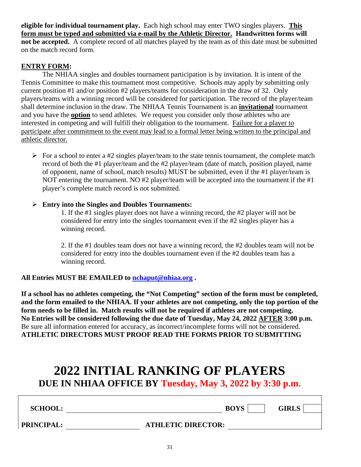**eligible for individual tournament play.** Each high school may enter TWO singles players. **This form must be typed and submitted via e-mail by the Athletic Director. Handwritten forms will not be accepted.** A complete record of all matches played by the team as of this date must be submitted on the match record form.

#### **ENTRY FORM:**

The NHIAA singles and doubles tournament participation is by invitation. It is intent of the Tennis Committee to make this tournament most competitive. Schools may apply by submitting only current position #1 and/or position #2 players/teams for consideration in the draw of 32. Only players/teams with a winning record will be considered for participation. The record of the player/team shall determine inclusion in the draw. The NHIAA Tennis Tournament is an **invitational** tournament and you have the **option** to send athletes. We request you consider only those athletes who are interested in competing and will fulfill their obligation to the tournament. Failure for a player to participate after commitment to the event may lead to a formal letter being written to the principal and athletic director.

 $\triangleright$  For a school to enter a #2 singles player/team to the state tennis tournament, the complete match record of both the #1 player/team and the #2 player/team (date of match, position played, name of opponent, name of school, match results) MUST be submitted, even if the #1 player/team is NOT entering the tournament. NO #2 player/team will be accepted into the tournament if the #1 player's complete match record is not submitted.

#### **Entry into the Singles and Doubles Tournaments:**

1. If the #1 singles player does not have a winning record, the #2 player will not be considered for entry into the singles tournament even if the #2 singles player has a winning record.

2. If the #1 doubles team does not have a winning record, the #2 doubles team will not be considered for entry into the doubles tournament even if the #2 doubles team has a winning record.

## **All Entries MUST BE EMAILED to [nchaput@nhiaa.org](mailto:nchaput@nhiaa.org) .**

**If a school has no athletes competing, the "Not Competing" section of the form must be completed, and the form emailed to the NHIAA. If your athletes are not competing, only the top portion of the form needs to be filled in. Match results will not be required if athletes are not competing. No Entries will be considered following the due date of Tuesday, May 24, 2022 AFTER 3:00 p.m.**  Be sure all information entered for accuracy, as incorrect/incomplete forms will not be considered. **ATHLETIC DIRECTORS MUST PROOF READ THE FORMS PRIOR TO SUBMITTING**

# **2022 INITIAL RANKING OF PLAYERS**

**DUE IN NHIAA OFFICE BY Tuesday, May 3, 2022 by 3:30 p.m.**

**SCHOOL: BOYS GIRLS** 

**PRINCIPAL: ATHLETIC DIRECTOR:**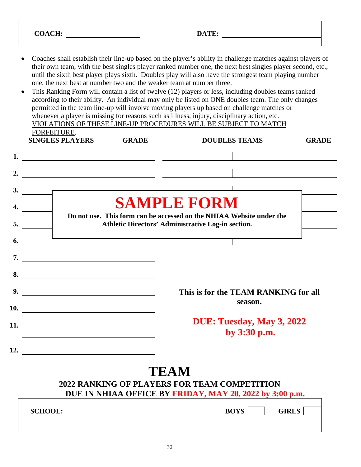- Coaches shall establish their line-up based on the player's ability in challenge matches against players of their own team, with the best singles player ranked number one, the next best singles player second, etc., until the sixth best player plays sixth. Doubles play will also have the strongest team playing number one, the next best at number two and the weaker team at number three.
- This Ranking Form will contain a list of twelve (12) players or less, including doubles teams ranked according to their ability. An individual may only be listed on ONE doubles team. The only changes permitted in the team line-up will involve moving players up based on challenge matches or whenever a player is missing for reasons such as illness, injury, disciplinary action, etc. VIOLATIONS OF THESE LINE-UP PROCEDURES WILL BE SUBJECT TO MATCH FORFEITURE. **SINGLES PLAYERS GRADE DOUBLES TEAMS GRADE**

|     | <u>DIRULLO I LA LLIND</u>                                                                                                                                                                                                     | <b>DOODLED LEARD</b>                                                                                                       |  |
|-----|-------------------------------------------------------------------------------------------------------------------------------------------------------------------------------------------------------------------------------|----------------------------------------------------------------------------------------------------------------------------|--|
|     |                                                                                                                                                                                                                               |                                                                                                                            |  |
|     |                                                                                                                                                                                                                               |                                                                                                                            |  |
|     | $\frac{3}{2}$                                                                                                                                                                                                                 |                                                                                                                            |  |
|     |                                                                                                                                                                                                                               | <b>SAMPLE FORM</b>                                                                                                         |  |
|     | 5.                                                                                                                                                                                                                            | Do not use. This form can be accessed on the NHIAA Website under the<br>Athletic Directors' Administrative Log-in section. |  |
|     | 6. $\qquad \qquad$                                                                                                                                                                                                            | <u> 1989 - Johann Barn, mars ann an t-Amhain ann an t-Amhain ann an t-Amhain ann an t-Amhain an t-Amhain ann an t-</u>     |  |
|     | $\overline{\phantom{a}}$                                                                                                                                                                                                      |                                                                                                                            |  |
|     | 8.                                                                                                                                                                                                                            |                                                                                                                            |  |
|     | 9.                                                                                                                                                                                                                            | This is for the TEAM RANKING for all                                                                                       |  |
|     | 10.                                                                                                                                                                                                                           | season.                                                                                                                    |  |
| 11. | the control of the control of the control of the control of the control of the control of the control of the control of the control of the control of the control of the control of the control of the control of the control | DUE: Tuesday, May 3, 2022<br>by 3:30 p.m.                                                                                  |  |
|     | 12.                                                                                                                                                                                                                           |                                                                                                                            |  |

# **TEAM**

# **2022 RANKING OF PLAYERS FOR TEAM COMPETITION DUE IN NHIAA OFFICE BY FRIDAY, MAY 20, 2022 by 3:00 p.m.**

SCHOOL: **BOYS GIRLS**